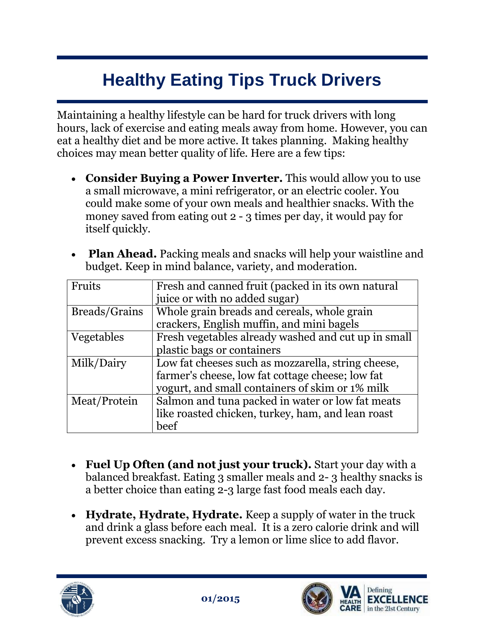## **Healthy Eating Tips Truck Drivers**

Maintaining a healthy lifestyle can be hard for truck drivers with long hours, lack of exercise and eating meals away from home. However, you can eat a healthy diet and be more active. It takes planning. Making healthy choices may mean better quality of life. Here are a few tips:

- **Consider Buying a Power Inverter.** This would allow you to use a small microwave, a mini refrigerator, or an electric cooler. You could make some of your own meals and healthier snacks. With the money saved from eating out 2 - 3 times per day, it would pay for itself quickly.
- **Plan Ahead.** Packing meals and snacks will help your waistline and budget. Keep in mind balance, variety, and moderation.

| Fruits        | Fresh and canned fruit (packed in its own natural   |
|---------------|-----------------------------------------------------|
|               | juice or with no added sugar)                       |
| Breads/Grains | Whole grain breads and cereals, whole grain         |
|               | crackers, English muffin, and mini bagels           |
| Vegetables    | Fresh vegetables already washed and cut up in small |
|               | plastic bags or containers                          |
| Milk/Dairy    | Low fat cheeses such as mozzarella, string cheese,  |
|               | farmer's cheese, low fat cottage cheese; low fat    |
|               | yogurt, and small containers of skim or 1% milk     |
| Meat/Protein  | Salmon and tuna packed in water or low fat meats    |
|               | like roasted chicken, turkey, ham, and lean roast   |
|               | beef                                                |

- **Fuel Up Often (and not just your truck).** Start your day with a balanced breakfast. Eating 3 smaller meals and 2- 3 healthy snacks is a better choice than eating 2-3 large fast food meals each day.
- **Hydrate, Hydrate, Hydrate.** Keep a supply of water in the truck and drink a glass before each meal. It is a zero calorie drink and will prevent excess snacking. Try a lemon or lime slice to add flavor.